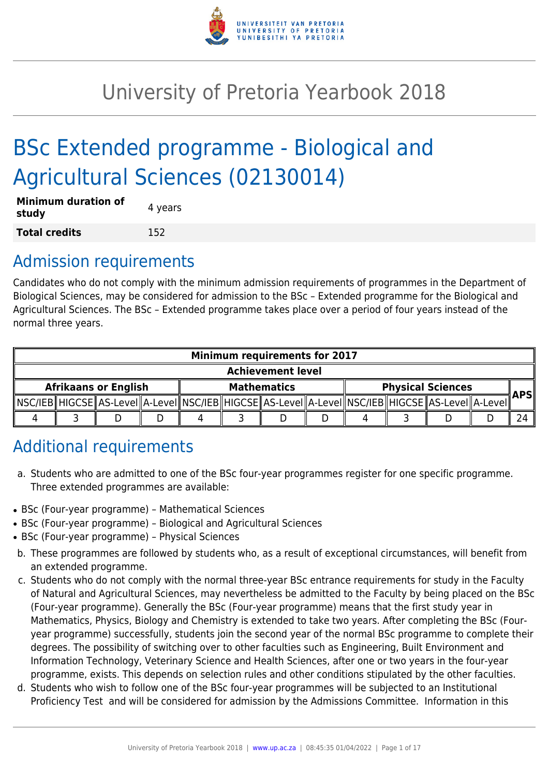

# University of Pretoria Yearbook 2018

# BSc Extended programme - Biological and Agricultural Sciences (02130014)

| <b>Minimum duration of</b><br>study | 4 years |
|-------------------------------------|---------|
| <b>Total credits</b>                | 152     |

## Admission requirements

Candidates who do not comply with the minimum admission requirements of programmes in the Department of Biological Sciences, may be considered for admission to the BSc – Extended programme for the Biological and Agricultural Sciences. The BSc – Extended programme takes place over a period of four years instead of the normal three years.

| <b>Minimum requirements for 2017</b> |  |                                                                                                            |  |  |                    |  |                          |     |
|--------------------------------------|--|------------------------------------------------------------------------------------------------------------|--|--|--------------------|--|--------------------------|-----|
| <b>Achievement level</b>             |  |                                                                                                            |  |  |                    |  |                          |     |
| <b>Afrikaans or English</b>          |  |                                                                                                            |  |  | <b>Mathematics</b> |  | <b>Physical Sciences</b> | APS |
|                                      |  | NSC/IEB  HIGCSE  AS-LeveI  A-LeveI  NSC/IEB  HIGCSE  AS-LeveI  A-LeveI  NSC/IEB  HIGCSE  AS-LeveI  A-LeveI |  |  |                    |  |                          |     |
|                                      |  |                                                                                                            |  |  |                    |  |                          |     |

## Additional requirements

- a. Students who are admitted to one of the BSc four-year programmes register for one specific programme. Three extended programmes are available:
- BSc (Four-year programme) Mathematical Sciences
- BSc (Four-year programme) Biological and Agricultural Sciences
- BSc (Four-year programme) Physical Sciences
- b. These programmes are followed by students who, as a result of exceptional circumstances, will benefit from an extended programme.
- c. Students who do not comply with the normal three-year BSc entrance requirements for study in the Faculty of Natural and Agricultural Sciences, may nevertheless be admitted to the Faculty by being placed on the BSc (Four-year programme). Generally the BSc (Four-year programme) means that the first study year in Mathematics, Physics, Biology and Chemistry is extended to take two years. After completing the BSc (Fouryear programme) successfully, students join the second year of the normal BSc programme to complete their degrees. The possibility of switching over to other faculties such as Engineering, Built Environment and Information Technology, Veterinary Science and Health Sciences, after one or two years in the four-year programme, exists. This depends on selection rules and other conditions stipulated by the other faculties.
- d. Students who wish to follow one of the BSc four-year programmes will be subjected to an Institutional Proficiency Test and will be considered for admission by the Admissions Committee. Information in this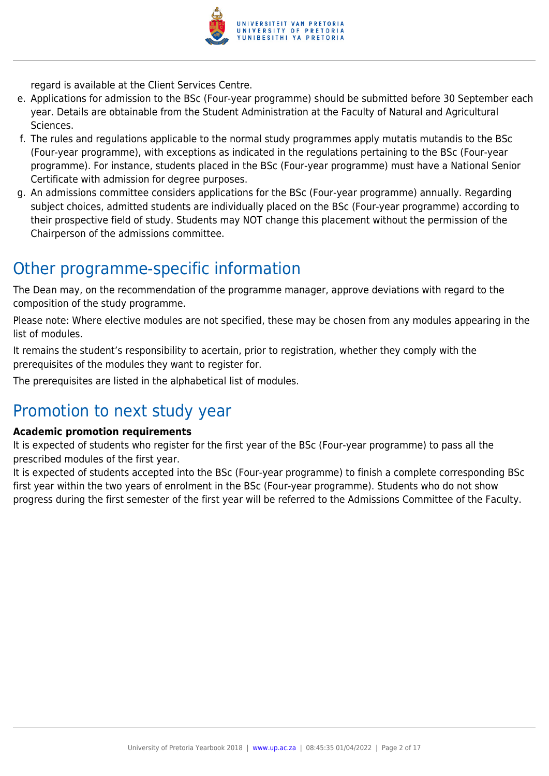

regard is available at the Client Services Centre.

- e. Applications for admission to the BSc (Four-year programme) should be submitted before 30 September each year. Details are obtainable from the Student Administration at the Faculty of Natural and Agricultural Sciences.
- f. The rules and regulations applicable to the normal study programmes apply mutatis mutandis to the BSc (Four-year programme), with exceptions as indicated in the regulations pertaining to the BSc (Four-year programme). For instance, students placed in the BSc (Four-year programme) must have a National Senior Certificate with admission for degree purposes.
- g. An admissions committee considers applications for the BSc (Four-year programme) annually. Regarding subject choices, admitted students are individually placed on the BSc (Four-year programme) according to their prospective field of study. Students may NOT change this placement without the permission of the Chairperson of the admissions committee.

### Other programme-specific information

The Dean may, on the recommendation of the programme manager, approve deviations with regard to the composition of the study programme.

Please note: Where elective modules are not specified, these may be chosen from any modules appearing in the list of modules.

It remains the student's responsibility to acertain, prior to registration, whether they comply with the prerequisites of the modules they want to register for.

The prerequisites are listed in the alphabetical list of modules.

### Promotion to next study year

#### **Academic promotion requirements**

It is expected of students who register for the first year of the BSc (Four-year programme) to pass all the prescribed modules of the first year.

It is expected of students accepted into the BSc (Four-year programme) to finish a complete corresponding BSc first year within the two years of enrolment in the BSc (Four-year programme). Students who do not show progress during the first semester of the first year will be referred to the Admissions Committee of the Faculty.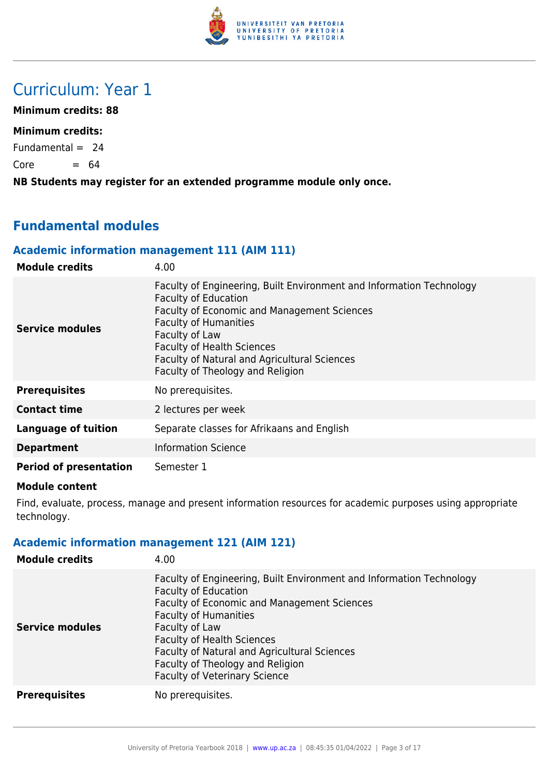

### Curriculum: Year 1

**Minimum credits: 88**

#### **Minimum credits:**

Fundamental  $= 24$ 

 $Core = 64$ 

**NB Students may register for an extended programme module only once.**

### **Fundamental modules**

#### **Academic information management 111 (AIM 111)**

| <b>Module credits</b>         | 4.00                                                                                                                                                                                                                                                                                                                                 |
|-------------------------------|--------------------------------------------------------------------------------------------------------------------------------------------------------------------------------------------------------------------------------------------------------------------------------------------------------------------------------------|
| Service modules               | Faculty of Engineering, Built Environment and Information Technology<br><b>Faculty of Education</b><br><b>Faculty of Economic and Management Sciences</b><br><b>Faculty of Humanities</b><br>Faculty of Law<br><b>Faculty of Health Sciences</b><br>Faculty of Natural and Agricultural Sciences<br>Faculty of Theology and Religion |
| <b>Prerequisites</b>          | No prerequisites.                                                                                                                                                                                                                                                                                                                    |
| <b>Contact time</b>           | 2 lectures per week                                                                                                                                                                                                                                                                                                                  |
| <b>Language of tuition</b>    | Separate classes for Afrikaans and English                                                                                                                                                                                                                                                                                           |
| <b>Department</b>             | <b>Information Science</b>                                                                                                                                                                                                                                                                                                           |
| <b>Period of presentation</b> | Semester 1                                                                                                                                                                                                                                                                                                                           |

#### **Module content**

Find, evaluate, process, manage and present information resources for academic purposes using appropriate technology.

#### **Academic information management 121 (AIM 121)**

| <b>Module credits</b>  | 4.00                                                                                                                                                                                                                                                                                                                                                                         |
|------------------------|------------------------------------------------------------------------------------------------------------------------------------------------------------------------------------------------------------------------------------------------------------------------------------------------------------------------------------------------------------------------------|
| <b>Service modules</b> | Faculty of Engineering, Built Environment and Information Technology<br><b>Faculty of Education</b><br>Faculty of Economic and Management Sciences<br><b>Faculty of Humanities</b><br>Faculty of Law<br><b>Faculty of Health Sciences</b><br><b>Faculty of Natural and Agricultural Sciences</b><br>Faculty of Theology and Religion<br><b>Faculty of Veterinary Science</b> |
| <b>Prerequisites</b>   | No prerequisites.                                                                                                                                                                                                                                                                                                                                                            |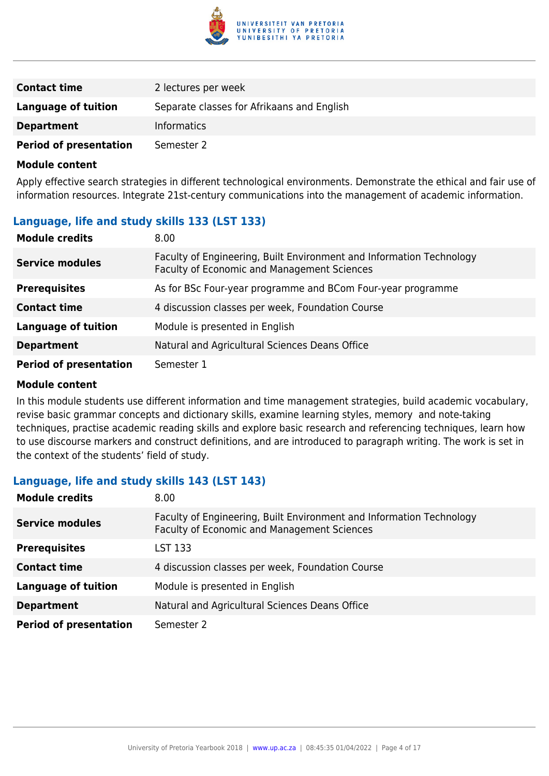

| <b>Contact time</b>           | 2 lectures per week                        |
|-------------------------------|--------------------------------------------|
| Language of tuition           | Separate classes for Afrikaans and English |
| <b>Department</b>             | <b>Informatics</b>                         |
| <b>Period of presentation</b> | Semester 2                                 |

Apply effective search strategies in different technological environments. Demonstrate the ethical and fair use of information resources. Integrate 21st-century communications into the management of academic information.

#### **Language, life and study skills 133 (LST 133)**

| <b>Module credits</b>         | 8.00                                                                                                                |
|-------------------------------|---------------------------------------------------------------------------------------------------------------------|
| <b>Service modules</b>        | Faculty of Engineering, Built Environment and Information Technology<br>Faculty of Economic and Management Sciences |
| <b>Prerequisites</b>          | As for BSc Four-year programme and BCom Four-year programme                                                         |
| <b>Contact time</b>           | 4 discussion classes per week, Foundation Course                                                                    |
| <b>Language of tuition</b>    | Module is presented in English                                                                                      |
| <b>Department</b>             | Natural and Agricultural Sciences Deans Office                                                                      |
| <b>Period of presentation</b> | Semester 1                                                                                                          |

#### **Module content**

In this module students use different information and time management strategies, build academic vocabulary, revise basic grammar concepts and dictionary skills, examine learning styles, memory and note-taking techniques, practise academic reading skills and explore basic research and referencing techniques, learn how to use discourse markers and construct definitions, and are introduced to paragraph writing. The work is set in the context of the students' field of study.

#### **Language, life and study skills 143 (LST 143)**

| <b>Module credits</b>         | 8.00                                                                                                                       |
|-------------------------------|----------------------------------------------------------------------------------------------------------------------------|
| <b>Service modules</b>        | Faculty of Engineering, Built Environment and Information Technology<br><b>Faculty of Economic and Management Sciences</b> |
| <b>Prerequisites</b>          | LST 133                                                                                                                    |
| <b>Contact time</b>           | 4 discussion classes per week, Foundation Course                                                                           |
| <b>Language of tuition</b>    | Module is presented in English                                                                                             |
| <b>Department</b>             | Natural and Agricultural Sciences Deans Office                                                                             |
| <b>Period of presentation</b> | Semester 2                                                                                                                 |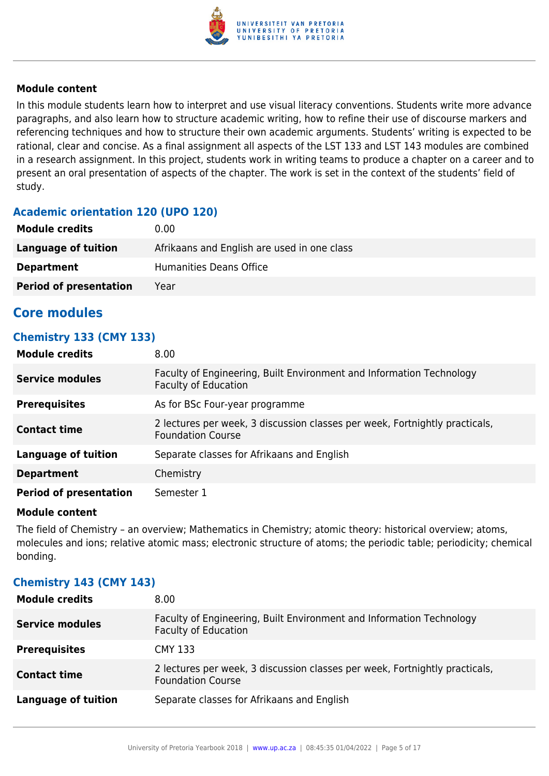

In this module students learn how to interpret and use visual literacy conventions. Students write more advance paragraphs, and also learn how to structure academic writing, how to refine their use of discourse markers and referencing techniques and how to structure their own academic arguments. Students' writing is expected to be rational, clear and concise. As a final assignment all aspects of the LST 133 and LST 143 modules are combined in a research assignment. In this project, students work in writing teams to produce a chapter on a career and to present an oral presentation of aspects of the chapter. The work is set in the context of the students' field of study.

#### **Academic orientation 120 (UPO 120)**

| <b>Module credits</b>         | 0.00                                        |
|-------------------------------|---------------------------------------------|
| Language of tuition           | Afrikaans and English are used in one class |
| <b>Department</b>             | Humanities Deans Office                     |
| <b>Period of presentation</b> | Year                                        |

#### **Core modules**

#### **Chemistry 133 (CMY 133)**

| <b>Module credits</b>         | 8.00                                                                                                    |
|-------------------------------|---------------------------------------------------------------------------------------------------------|
| <b>Service modules</b>        | Faculty of Engineering, Built Environment and Information Technology<br><b>Faculty of Education</b>     |
| <b>Prerequisites</b>          | As for BSc Four-year programme                                                                          |
| <b>Contact time</b>           | 2 lectures per week, 3 discussion classes per week, Fortnightly practicals,<br><b>Foundation Course</b> |
| <b>Language of tuition</b>    | Separate classes for Afrikaans and English                                                              |
| <b>Department</b>             | Chemistry                                                                                               |
| <b>Period of presentation</b> | Semester 1                                                                                              |

#### **Module content**

The field of Chemistry – an overview; Mathematics in Chemistry; atomic theory: historical overview; atoms, molecules and ions; relative atomic mass; electronic structure of atoms; the periodic table; periodicity; chemical bonding.

#### **Chemistry 143 (CMY 143)**

| <b>Module credits</b>      | 8.00                                                                                                    |
|----------------------------|---------------------------------------------------------------------------------------------------------|
| <b>Service modules</b>     | Faculty of Engineering, Built Environment and Information Technology<br><b>Faculty of Education</b>     |
| <b>Prerequisites</b>       | <b>CMY 133</b>                                                                                          |
| <b>Contact time</b>        | 2 lectures per week, 3 discussion classes per week, Fortnightly practicals,<br><b>Foundation Course</b> |
| <b>Language of tuition</b> | Separate classes for Afrikaans and English                                                              |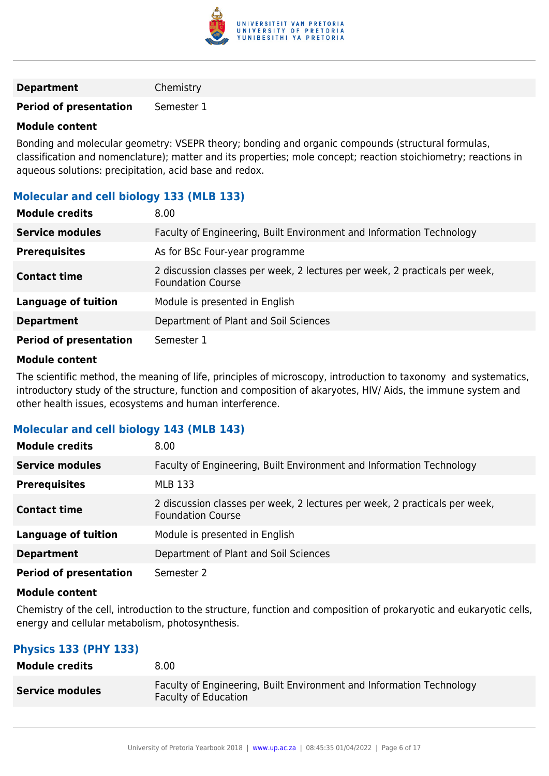

| <b>Department</b> | Chemistry |
|-------------------|-----------|
|-------------------|-----------|

**Period of presentation** Semester 1

#### **Module content**

Bonding and molecular geometry: VSEPR theory; bonding and organic compounds (structural formulas, classification and nomenclature); matter and its properties; mole concept; reaction stoichiometry; reactions in aqueous solutions: precipitation, acid base and redox.

#### **Molecular and cell biology 133 (MLB 133)**

| <b>Module credits</b>         | 8.00                                                                                                   |
|-------------------------------|--------------------------------------------------------------------------------------------------------|
| <b>Service modules</b>        | Faculty of Engineering, Built Environment and Information Technology                                   |
| <b>Prerequisites</b>          | As for BSc Four-year programme                                                                         |
| <b>Contact time</b>           | 2 discussion classes per week, 2 lectures per week, 2 practicals per week,<br><b>Foundation Course</b> |
| <b>Language of tuition</b>    | Module is presented in English                                                                         |
| <b>Department</b>             | Department of Plant and Soil Sciences                                                                  |
| <b>Period of presentation</b> | Semester 1                                                                                             |

#### **Module content**

The scientific method, the meaning of life, principles of microscopy, introduction to taxonomy and systematics, introductory study of the structure, function and composition of akaryotes, HIV/ Aids, the immune system and other health issues, ecosystems and human interference.

#### **Molecular and cell biology 143 (MLB 143)**

| <b>Module credits</b>         | 8.00                                                                                                   |
|-------------------------------|--------------------------------------------------------------------------------------------------------|
| <b>Service modules</b>        | Faculty of Engineering, Built Environment and Information Technology                                   |
| <b>Prerequisites</b>          | <b>MLB 133</b>                                                                                         |
| <b>Contact time</b>           | 2 discussion classes per week, 2 lectures per week, 2 practicals per week,<br><b>Foundation Course</b> |
| <b>Language of tuition</b>    | Module is presented in English                                                                         |
| <b>Department</b>             | Department of Plant and Soil Sciences                                                                  |
| <b>Period of presentation</b> | Semester 2                                                                                             |

#### **Module content**

Chemistry of the cell, introduction to the structure, function and composition of prokaryotic and eukaryotic cells, energy and cellular metabolism, photosynthesis.

#### **Physics 133 (PHY 133)**

| <b>Module credits</b>  | 8.00 <sub>1</sub>                                                                                   |
|------------------------|-----------------------------------------------------------------------------------------------------|
| <b>Service modules</b> | Faculty of Engineering, Built Environment and Information Technology<br><b>Faculty of Education</b> |
|                        |                                                                                                     |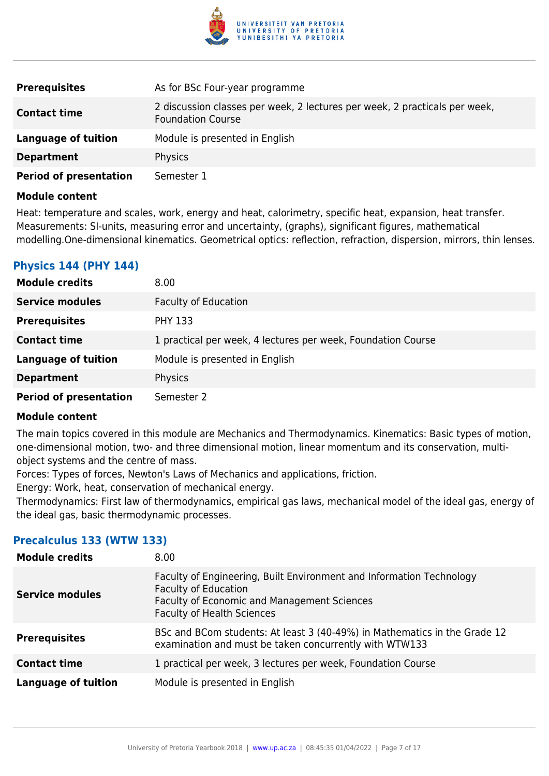

| <b>Prerequisites</b>          | As for BSc Four-year programme                                                                         |
|-------------------------------|--------------------------------------------------------------------------------------------------------|
| <b>Contact time</b>           | 2 discussion classes per week, 2 lectures per week, 2 practicals per week,<br><b>Foundation Course</b> |
| Language of tuition           | Module is presented in English                                                                         |
| <b>Department</b>             | <b>Physics</b>                                                                                         |
| <b>Period of presentation</b> | Semester 1                                                                                             |

Heat: temperature and scales, work, energy and heat, calorimetry, specific heat, expansion, heat transfer. Measurements: SI-units, measuring error and uncertainty, (graphs), significant figures, mathematical modelling.One-dimensional kinematics. Geometrical optics: reflection, refraction, dispersion, mirrors, thin lenses.

#### **Physics 144 (PHY 144)**

| <b>Module credits</b>         | 8.00                                                         |
|-------------------------------|--------------------------------------------------------------|
| <b>Service modules</b>        | <b>Faculty of Education</b>                                  |
| <b>Prerequisites</b>          | <b>PHY 133</b>                                               |
| <b>Contact time</b>           | 1 practical per week, 4 lectures per week, Foundation Course |
| <b>Language of tuition</b>    | Module is presented in English                               |
| <b>Department</b>             | Physics                                                      |
| <b>Period of presentation</b> | Semester 2                                                   |

#### **Module content**

The main topics covered in this module are Mechanics and Thermodynamics. Kinematics: Basic types of motion, one-dimensional motion, two- and three dimensional motion, linear momentum and its conservation, multiobject systems and the centre of mass.

Forces: Types of forces, Newton's Laws of Mechanics and applications, friction.

Energy: Work, heat, conservation of mechanical energy.

Thermodynamics: First law of thermodynamics, empirical gas laws, mechanical model of the ideal gas, energy of the ideal gas, basic thermodynamic processes.

#### **Precalculus 133 (WTW 133)**

| <b>Module credits</b>      | 8.00                                                                                                                                                                                    |
|----------------------------|-----------------------------------------------------------------------------------------------------------------------------------------------------------------------------------------|
| <b>Service modules</b>     | Faculty of Engineering, Built Environment and Information Technology<br><b>Faculty of Education</b><br>Faculty of Economic and Management Sciences<br><b>Faculty of Health Sciences</b> |
| <b>Prerequisites</b>       | BSc and BCom students: At least 3 (40-49%) in Mathematics in the Grade 12<br>examination and must be taken concurrently with WTW133                                                     |
| <b>Contact time</b>        | 1 practical per week, 3 lectures per week, Foundation Course                                                                                                                            |
| <b>Language of tuition</b> | Module is presented in English                                                                                                                                                          |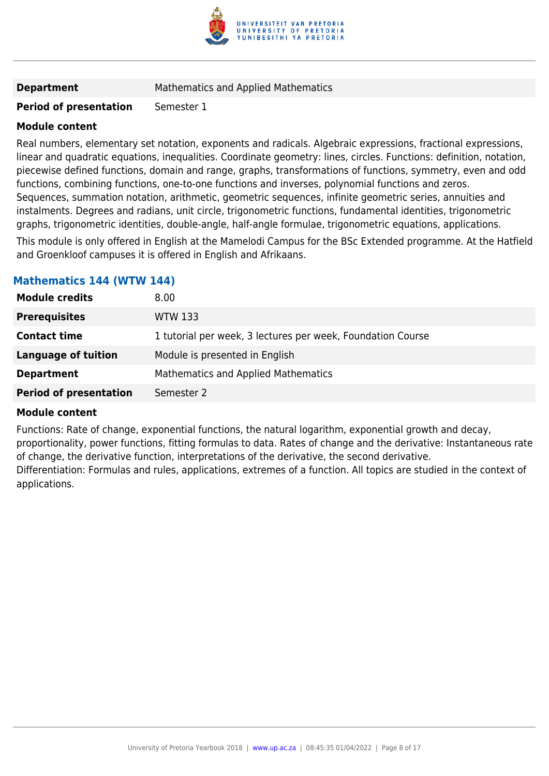

**Department** Mathematics and Applied Mathematics

#### **Period of presentation** Semester 1

#### **Module content**

Real numbers, elementary set notation, exponents and radicals. Algebraic expressions, fractional expressions, linear and quadratic equations, inequalities. Coordinate geometry: lines, circles. Functions: definition, notation, piecewise defined functions, domain and range, graphs, transformations of functions, symmetry, even and odd functions, combining functions, one-to-one functions and inverses, polynomial functions and zeros. Sequences, summation notation, arithmetic, geometric sequences, infinite geometric series, annuities and instalments. Degrees and radians, unit circle, trigonometric functions, fundamental identities, trigonometric graphs, trigonometric identities, double-angle, half-angle formulae, trigonometric equations, applications.

This module is only offered in English at the Mamelodi Campus for the BSc Extended programme. At the Hatfield and Groenkloof campuses it is offered in English and Afrikaans.

#### **Mathematics 144 (WTW 144)**

| <b>Module credits</b>         | 8.00 <sub>1</sub>                                           |
|-------------------------------|-------------------------------------------------------------|
| <b>Prerequisites</b>          | <b>WTW 133</b>                                              |
| <b>Contact time</b>           | 1 tutorial per week, 3 lectures per week, Foundation Course |
| <b>Language of tuition</b>    | Module is presented in English                              |
| <b>Department</b>             | Mathematics and Applied Mathematics                         |
| <b>Period of presentation</b> | Semester 2                                                  |

#### **Module content**

Functions: Rate of change, exponential functions, the natural logarithm, exponential growth and decay,

proportionality, power functions, fitting formulas to data. Rates of change and the derivative: Instantaneous rate of change, the derivative function, interpretations of the derivative, the second derivative.

Differentiation: Formulas and rules, applications, extremes of a function. All topics are studied in the context of applications.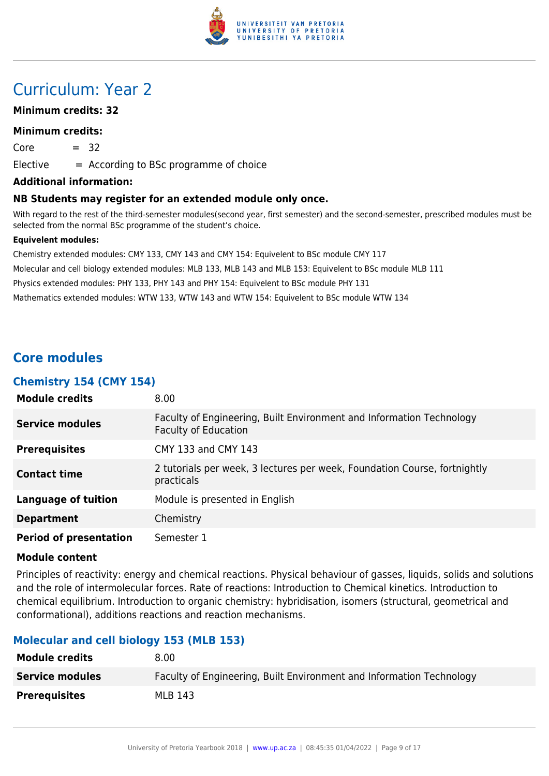

## Curriculum: Year 2

#### **Minimum credits: 32**

#### **Minimum credits:**

 $Core = 32$ 

 $E$ lective  $=$  According to BSc programme of choice

#### **Additional information:**

#### **NB Students may register for an extended module only once.**

With regard to the rest of the third-semester modules(second year, first semester) and the second-semester, prescribed modules must be selected from the normal BSc programme of the student's choice.

#### **Equivelent modules:**

Chemistry extended modules: CMY 133, CMY 143 and CMY 154: Equivelent to BSc module CMY 117 Molecular and cell biology extended modules: MLB 133, MLB 143 and MLB 153: Equivelent to BSc module MLB 111 Physics extended modules: PHY 133, PHY 143 and PHY 154: Equivelent to BSc module PHY 131 Mathematics extended modules: WTW 133, WTW 143 and WTW 154: Equivelent to BSc module WTW 134

#### **Core modules**

#### **Chemistry 154 (CMY 154)**

| <b>Module credits</b>         | 8.00                                                                                                |
|-------------------------------|-----------------------------------------------------------------------------------------------------|
| <b>Service modules</b>        | Faculty of Engineering, Built Environment and Information Technology<br><b>Faculty of Education</b> |
| <b>Prerequisites</b>          | CMY 133 and CMY 143                                                                                 |
| <b>Contact time</b>           | 2 tutorials per week, 3 lectures per week, Foundation Course, fortnightly<br>practicals             |
| <b>Language of tuition</b>    | Module is presented in English                                                                      |
| <b>Department</b>             | Chemistry                                                                                           |
| <b>Period of presentation</b> | Semester 1                                                                                          |

#### **Module content**

Principles of reactivity: energy and chemical reactions. Physical behaviour of gasses, liquids, solids and solutions and the role of intermolecular forces. Rate of reactions: Introduction to Chemical kinetics. Introduction to chemical equilibrium. Introduction to organic chemistry: hybridisation, isomers (structural, geometrical and conformational), additions reactions and reaction mechanisms.

#### **Molecular and cell biology 153 (MLB 153)**

| <b>Module credits</b>  | 8.00                                                                 |
|------------------------|----------------------------------------------------------------------|
| <b>Service modules</b> | Faculty of Engineering, Built Environment and Information Technology |
| <b>Prerequisites</b>   | MLB 143                                                              |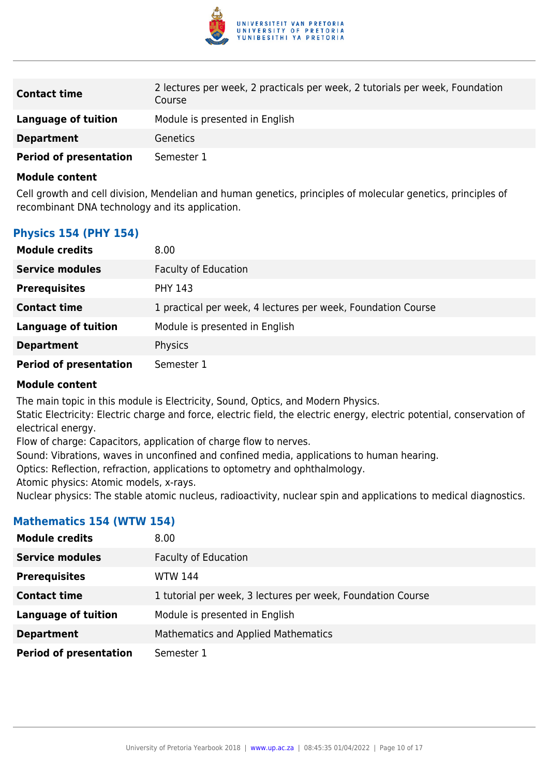

| <b>Contact time</b>           | 2 lectures per week, 2 practicals per week, 2 tutorials per week, Foundation<br>Course |
|-------------------------------|----------------------------------------------------------------------------------------|
| Language of tuition           | Module is presented in English                                                         |
| <b>Department</b>             | <b>Genetics</b>                                                                        |
| <b>Period of presentation</b> | Semester 1                                                                             |

Cell growth and cell division, Mendelian and human genetics, principles of molecular genetics, principles of recombinant DNA technology and its application.

#### **Physics 154 (PHY 154)**

| <b>Module credits</b>         | 8.00                                                         |
|-------------------------------|--------------------------------------------------------------|
| <b>Service modules</b>        | <b>Faculty of Education</b>                                  |
| <b>Prerequisites</b>          | <b>PHY 143</b>                                               |
| <b>Contact time</b>           | 1 practical per week, 4 lectures per week, Foundation Course |
| <b>Language of tuition</b>    | Module is presented in English                               |
| <b>Department</b>             | Physics                                                      |
| <b>Period of presentation</b> | Semester 1                                                   |

#### **Module content**

The main topic in this module is Electricity, Sound, Optics, and Modern Physics.

Static Electricity: Electric charge and force, electric field, the electric energy, electric potential, conservation of electrical energy.

Flow of charge: Capacitors, application of charge flow to nerves.

Sound: Vibrations, waves in unconfined and confined media, applications to human hearing.

Optics: Reflection, refraction, applications to optometry and ophthalmology.

Atomic physics: Atomic models, x-rays.

Nuclear physics: The stable atomic nucleus, radioactivity, nuclear spin and applications to medical diagnostics.

#### **Mathematics 154 (WTW 154)**

| <b>Module credits</b>         | 8.00                                                        |
|-------------------------------|-------------------------------------------------------------|
| <b>Service modules</b>        | <b>Faculty of Education</b>                                 |
| <b>Prerequisites</b>          | <b>WTW 144</b>                                              |
| <b>Contact time</b>           | 1 tutorial per week, 3 lectures per week, Foundation Course |
| <b>Language of tuition</b>    | Module is presented in English                              |
| <b>Department</b>             | Mathematics and Applied Mathematics                         |
| <b>Period of presentation</b> | Semester 1                                                  |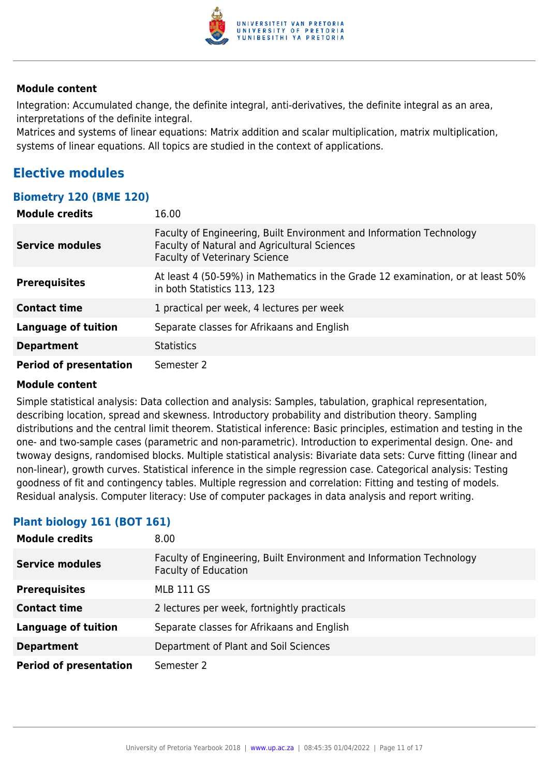

Integration: Accumulated change, the definite integral, anti-derivatives, the definite integral as an area, interpretations of the definite integral.

Matrices and systems of linear equations: Matrix addition and scalar multiplication, matrix multiplication, systems of linear equations. All topics are studied in the context of applications.

#### **Elective modules**

#### **Biometry 120 (BME 120)**

| <b>Module credits</b>         | 16.00                                                                                                                                                        |
|-------------------------------|--------------------------------------------------------------------------------------------------------------------------------------------------------------|
| <b>Service modules</b>        | Faculty of Engineering, Built Environment and Information Technology<br>Faculty of Natural and Agricultural Sciences<br><b>Faculty of Veterinary Science</b> |
| <b>Prerequisites</b>          | At least 4 (50-59%) in Mathematics in the Grade 12 examination, or at least 50%<br>in both Statistics 113, 123                                               |
| <b>Contact time</b>           | 1 practical per week, 4 lectures per week                                                                                                                    |
| <b>Language of tuition</b>    | Separate classes for Afrikaans and English                                                                                                                   |
| <b>Department</b>             | <b>Statistics</b>                                                                                                                                            |
| <b>Period of presentation</b> | Semester 2                                                                                                                                                   |

#### **Module content**

Simple statistical analysis: Data collection and analysis: Samples, tabulation, graphical representation, describing location, spread and skewness. Introductory probability and distribution theory. Sampling distributions and the central limit theorem. Statistical inference: Basic principles, estimation and testing in the one- and two-sample cases (parametric and non-parametric). Introduction to experimental design. One- and twoway designs, randomised blocks. Multiple statistical analysis: Bivariate data sets: Curve fitting (linear and non-linear), growth curves. Statistical inference in the simple regression case. Categorical analysis: Testing goodness of fit and contingency tables. Multiple regression and correlation: Fitting and testing of models. Residual analysis. Computer literacy: Use of computer packages in data analysis and report writing.

#### **Plant biology 161 (BOT 161)**

| <b>Module credits</b>         | 8.00                                                                                                |
|-------------------------------|-----------------------------------------------------------------------------------------------------|
| <b>Service modules</b>        | Faculty of Engineering, Built Environment and Information Technology<br><b>Faculty of Education</b> |
| <b>Prerequisites</b>          | <b>MLB 111 GS</b>                                                                                   |
| <b>Contact time</b>           | 2 lectures per week, fortnightly practicals                                                         |
| <b>Language of tuition</b>    | Separate classes for Afrikaans and English                                                          |
| <b>Department</b>             | Department of Plant and Soil Sciences                                                               |
| <b>Period of presentation</b> | Semester 2                                                                                          |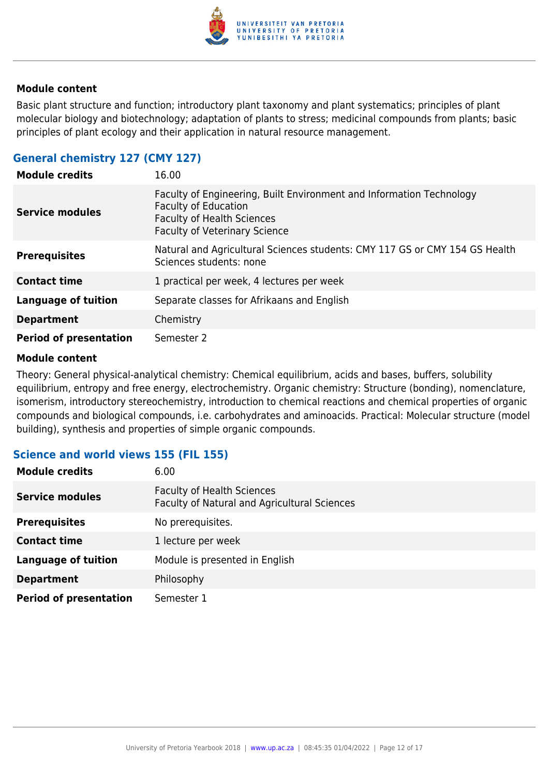

Basic plant structure and function; introductory plant taxonomy and plant systematics; principles of plant molecular biology and biotechnology; adaptation of plants to stress; medicinal compounds from plants; basic principles of plant ecology and their application in natural resource management.

#### **General chemistry 127 (CMY 127)**

| <b>Module credits</b>         | 16.00                                                                                                                                                                            |
|-------------------------------|----------------------------------------------------------------------------------------------------------------------------------------------------------------------------------|
| <b>Service modules</b>        | Faculty of Engineering, Built Environment and Information Technology<br><b>Faculty of Education</b><br><b>Faculty of Health Sciences</b><br><b>Faculty of Veterinary Science</b> |
| <b>Prerequisites</b>          | Natural and Agricultural Sciences students: CMY 117 GS or CMY 154 GS Health<br>Sciences students: none                                                                           |
| <b>Contact time</b>           | 1 practical per week, 4 lectures per week                                                                                                                                        |
| <b>Language of tuition</b>    | Separate classes for Afrikaans and English                                                                                                                                       |
| <b>Department</b>             | Chemistry                                                                                                                                                                        |
| <b>Period of presentation</b> | Semester 2                                                                                                                                                                       |

#### **Module content**

Theory: General physical-analytical chemistry: Chemical equilibrium, acids and bases, buffers, solubility equilibrium, entropy and free energy, electrochemistry. Organic chemistry: Structure (bonding), nomenclature, isomerism, introductory stereochemistry, introduction to chemical reactions and chemical properties of organic compounds and biological compounds, i.e. carbohydrates and aminoacids. Practical: Molecular structure (model building), synthesis and properties of simple organic compounds.

#### **Science and world views 155 (FIL 155)**

| <b>Module credits</b>         | 6.00                                                                              |
|-------------------------------|-----------------------------------------------------------------------------------|
| <b>Service modules</b>        | <b>Faculty of Health Sciences</b><br>Faculty of Natural and Agricultural Sciences |
| <b>Prerequisites</b>          | No prerequisites.                                                                 |
| <b>Contact time</b>           | 1 lecture per week                                                                |
| <b>Language of tuition</b>    | Module is presented in English                                                    |
| <b>Department</b>             | Philosophy                                                                        |
| <b>Period of presentation</b> | Semester 1                                                                        |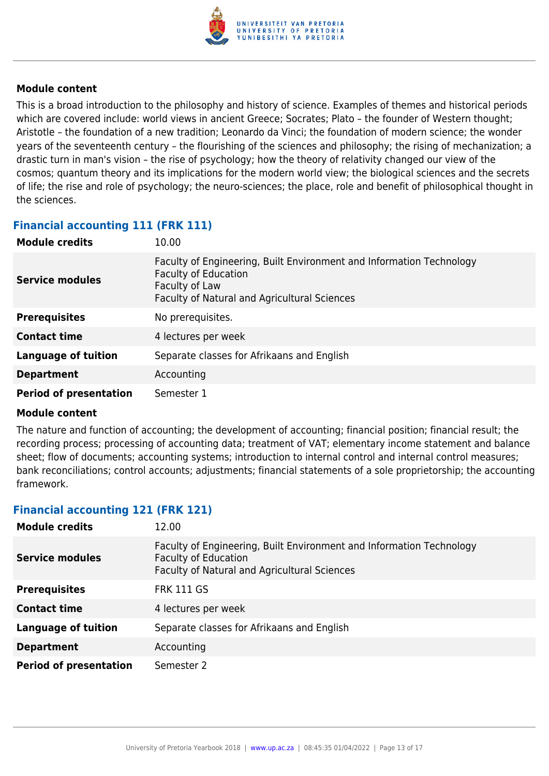

This is a broad introduction to the philosophy and history of science. Examples of themes and historical periods which are covered include: world views in ancient Greece; Socrates; Plato – the founder of Western thought; Aristotle – the foundation of a new tradition; Leonardo da Vinci; the foundation of modern science; the wonder years of the seventeenth century – the flourishing of the sciences and philosophy; the rising of mechanization; a drastic turn in man's vision – the rise of psychology; how the theory of relativity changed our view of the cosmos; quantum theory and its implications for the modern world view; the biological sciences and the secrets of life; the rise and role of psychology; the neuro-sciences; the place, role and benefit of philosophical thought in the sciences.

#### **Financial accounting 111 (FRK 111)**

| <b>Module credits</b>         | 10.00                                                                                                                                                                        |
|-------------------------------|------------------------------------------------------------------------------------------------------------------------------------------------------------------------------|
| <b>Service modules</b>        | Faculty of Engineering, Built Environment and Information Technology<br><b>Faculty of Education</b><br>Faculty of Law<br><b>Faculty of Natural and Agricultural Sciences</b> |
| <b>Prerequisites</b>          | No prerequisites.                                                                                                                                                            |
| <b>Contact time</b>           | 4 lectures per week                                                                                                                                                          |
| <b>Language of tuition</b>    | Separate classes for Afrikaans and English                                                                                                                                   |
| <b>Department</b>             | Accounting                                                                                                                                                                   |
| <b>Period of presentation</b> | Semester 1                                                                                                                                                                   |

#### **Module content**

The nature and function of accounting; the development of accounting; financial position; financial result; the recording process; processing of accounting data; treatment of VAT; elementary income statement and balance sheet; flow of documents; accounting systems; introduction to internal control and internal control measures; bank reconciliations; control accounts; adjustments; financial statements of a sole proprietorship; the accounting framework.

#### **Financial accounting 121 (FRK 121)**

| <b>Module credits</b>         | 12.00                                                                                                                                                      |
|-------------------------------|------------------------------------------------------------------------------------------------------------------------------------------------------------|
| Service modules               | Faculty of Engineering, Built Environment and Information Technology<br><b>Faculty of Education</b><br><b>Faculty of Natural and Agricultural Sciences</b> |
| <b>Prerequisites</b>          | <b>FRK 111 GS</b>                                                                                                                                          |
| <b>Contact time</b>           | 4 lectures per week                                                                                                                                        |
| <b>Language of tuition</b>    | Separate classes for Afrikaans and English                                                                                                                 |
| <b>Department</b>             | Accounting                                                                                                                                                 |
| <b>Period of presentation</b> | Semester 2                                                                                                                                                 |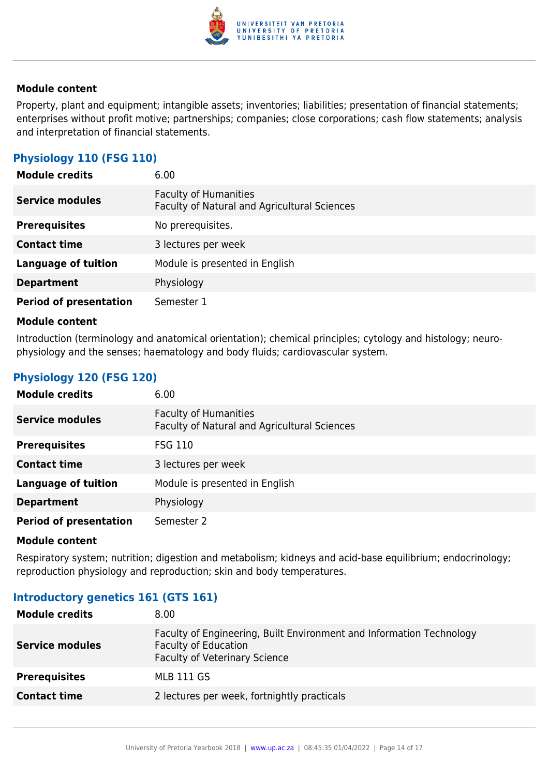

Property, plant and equipment; intangible assets; inventories; liabilities; presentation of financial statements; enterprises without profit motive; partnerships; companies; close corporations; cash flow statements; analysis and interpretation of financial statements.

#### **Physiology 110 (FSG 110)**

| <b>Module credits</b>         | 6.00                                                                         |
|-------------------------------|------------------------------------------------------------------------------|
| <b>Service modules</b>        | <b>Faculty of Humanities</b><br>Faculty of Natural and Agricultural Sciences |
| <b>Prerequisites</b>          | No prerequisites.                                                            |
| <b>Contact time</b>           | 3 lectures per week                                                          |
| <b>Language of tuition</b>    | Module is presented in English                                               |
| <b>Department</b>             | Physiology                                                                   |
| <b>Period of presentation</b> | Semester 1                                                                   |

#### **Module content**

Introduction (terminology and anatomical orientation); chemical principles; cytology and histology; neurophysiology and the senses; haematology and body fluids; cardiovascular system.

#### **Physiology 120 (FSG 120)**

| <b>Module credits</b>         | 6.00                                                                         |
|-------------------------------|------------------------------------------------------------------------------|
| <b>Service modules</b>        | <b>Faculty of Humanities</b><br>Faculty of Natural and Agricultural Sciences |
| <b>Prerequisites</b>          | <b>FSG 110</b>                                                               |
| <b>Contact time</b>           | 3 lectures per week                                                          |
| <b>Language of tuition</b>    | Module is presented in English                                               |
| <b>Department</b>             | Physiology                                                                   |
| <b>Period of presentation</b> | Semester 2                                                                   |

#### **Module content**

Respiratory system; nutrition; digestion and metabolism; kidneys and acid-base equilibrium; endocrinology; reproduction physiology and reproduction; skin and body temperatures.

#### **Introductory genetics 161 (GTS 161)**

| Faculty of Engineering, Built Environment and Information Technology<br><b>Faculty of Education</b><br><b>Service modules</b><br><b>Faculty of Veterinary Science</b><br><b>Prerequisites</b><br><b>MLB 111 GS</b><br>2 lectures per week, fortnightly practicals<br><b>Contact time</b> | <b>Module credits</b> | 8.00 |
|------------------------------------------------------------------------------------------------------------------------------------------------------------------------------------------------------------------------------------------------------------------------------------------|-----------------------|------|
|                                                                                                                                                                                                                                                                                          |                       |      |
|                                                                                                                                                                                                                                                                                          |                       |      |
|                                                                                                                                                                                                                                                                                          |                       |      |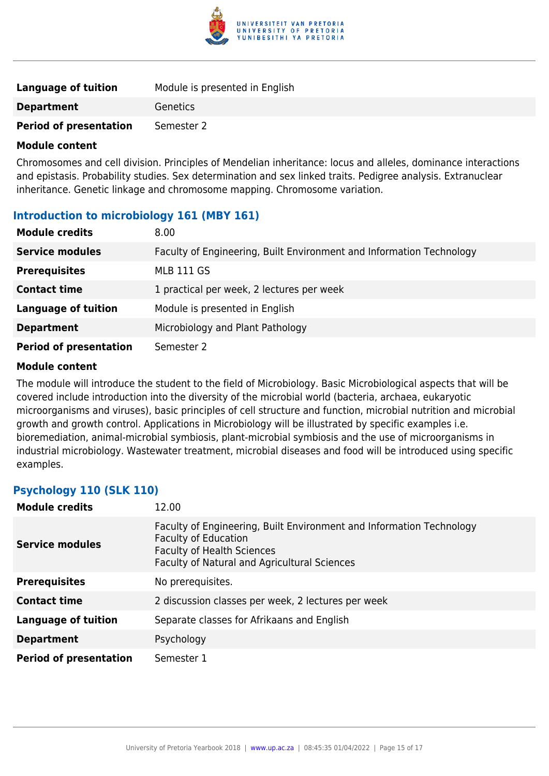

| <b>Language of tuition</b>    | Module is presented in English |
|-------------------------------|--------------------------------|
| <b>Department</b>             | Genetics                       |
| <b>Period of presentation</b> | Semester 2                     |

Chromosomes and cell division. Principles of Mendelian inheritance: locus and alleles, dominance interactions and epistasis. Probability studies. Sex determination and sex linked traits. Pedigree analysis. Extranuclear inheritance. Genetic linkage and chromosome mapping. Chromosome variation.

#### **Introduction to microbiology 161 (MBY 161)**

| <b>Module credits</b>         | 8.00                                                                 |
|-------------------------------|----------------------------------------------------------------------|
| <b>Service modules</b>        | Faculty of Engineering, Built Environment and Information Technology |
| <b>Prerequisites</b>          | <b>MLB 111 GS</b>                                                    |
| <b>Contact time</b>           | 1 practical per week, 2 lectures per week                            |
| <b>Language of tuition</b>    | Module is presented in English                                       |
| <b>Department</b>             | Microbiology and Plant Pathology                                     |
| <b>Period of presentation</b> | Semester 2                                                           |

#### **Module content**

The module will introduce the student to the field of Microbiology. Basic Microbiological aspects that will be covered include introduction into the diversity of the microbial world (bacteria, archaea, eukaryotic microorganisms and viruses), basic principles of cell structure and function, microbial nutrition and microbial growth and growth control. Applications in Microbiology will be illustrated by specific examples i.e. bioremediation, animal-microbial symbiosis, plant-microbial symbiosis and the use of microorganisms in industrial microbiology. Wastewater treatment, microbial diseases and food will be introduced using specific examples.

#### **Psychology 110 (SLK 110)**

| <b>Module credits</b>         | 12.00                                                                                                                                                                                    |
|-------------------------------|------------------------------------------------------------------------------------------------------------------------------------------------------------------------------------------|
| <b>Service modules</b>        | Faculty of Engineering, Built Environment and Information Technology<br><b>Faculty of Education</b><br><b>Faculty of Health Sciences</b><br>Faculty of Natural and Agricultural Sciences |
| <b>Prerequisites</b>          | No prerequisites.                                                                                                                                                                        |
| <b>Contact time</b>           | 2 discussion classes per week, 2 lectures per week                                                                                                                                       |
| <b>Language of tuition</b>    | Separate classes for Afrikaans and English                                                                                                                                               |
| <b>Department</b>             | Psychology                                                                                                                                                                               |
| <b>Period of presentation</b> | Semester 1                                                                                                                                                                               |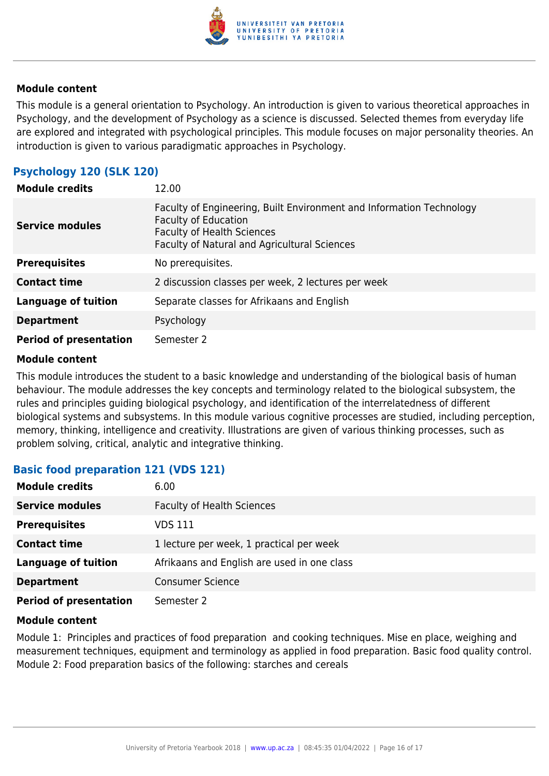

This module is a general orientation to Psychology. An introduction is given to various theoretical approaches in Psychology, and the development of Psychology as a science is discussed. Selected themes from everyday life are explored and integrated with psychological principles. This module focuses on major personality theories. An introduction is given to various paradigmatic approaches in Psychology.

#### **Psychology 120 (SLK 120)**

| <b>Module credits</b>         | 12.00                                                                                                                                                                                    |
|-------------------------------|------------------------------------------------------------------------------------------------------------------------------------------------------------------------------------------|
| <b>Service modules</b>        | Faculty of Engineering, Built Environment and Information Technology<br><b>Faculty of Education</b><br><b>Faculty of Health Sciences</b><br>Faculty of Natural and Agricultural Sciences |
| <b>Prerequisites</b>          | No prerequisites.                                                                                                                                                                        |
| <b>Contact time</b>           | 2 discussion classes per week, 2 lectures per week                                                                                                                                       |
| <b>Language of tuition</b>    | Separate classes for Afrikaans and English                                                                                                                                               |
| <b>Department</b>             | Psychology                                                                                                                                                                               |
| <b>Period of presentation</b> | Semester 2                                                                                                                                                                               |

#### **Module content**

This module introduces the student to a basic knowledge and understanding of the biological basis of human behaviour. The module addresses the key concepts and terminology related to the biological subsystem, the rules and principles guiding biological psychology, and identification of the interrelatedness of different biological systems and subsystems. In this module various cognitive processes are studied, including perception, memory, thinking, intelligence and creativity. Illustrations are given of various thinking processes, such as problem solving, critical, analytic and integrative thinking.

#### **Basic food preparation 121 (VDS 121)**

| <b>Module credits</b>         | 6.00                                        |
|-------------------------------|---------------------------------------------|
| <b>Service modules</b>        | <b>Faculty of Health Sciences</b>           |
| <b>Prerequisites</b>          | VDS 111                                     |
| <b>Contact time</b>           | 1 lecture per week, 1 practical per week    |
| <b>Language of tuition</b>    | Afrikaans and English are used in one class |
| <b>Department</b>             | <b>Consumer Science</b>                     |
| <b>Period of presentation</b> | Semester 2                                  |

#### **Module content**

Module 1: Principles and practices of food preparation and cooking techniques. Mise en place, weighing and measurement techniques, equipment and terminology as applied in food preparation. Basic food quality control. Module 2: Food preparation basics of the following: starches and cereals